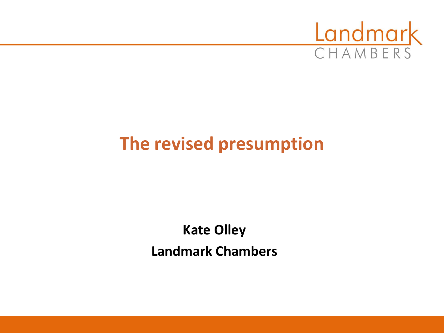

## **The revised presumption**

### **Kate Olley Landmark Chambers**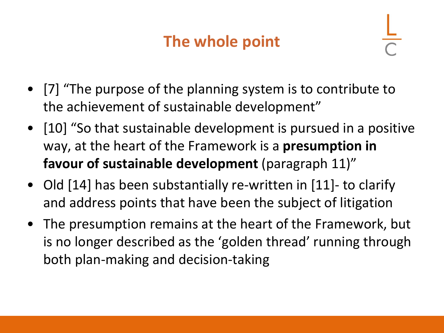## **The whole point**

- [7] "The purpose of the planning system is to contribute to the achievement of sustainable development"
- [10] "So that sustainable development is pursued in a positive way, at the heart of the Framework is a **presumption in favour of sustainable development** (paragraph 11)"
- Old [14] has been substantially re-written in [11]- to clarify and address points that have been the subject of litigation
- The presumption remains at the heart of the Framework, but is no longer described as the 'golden thread' running through both plan-making and decision-taking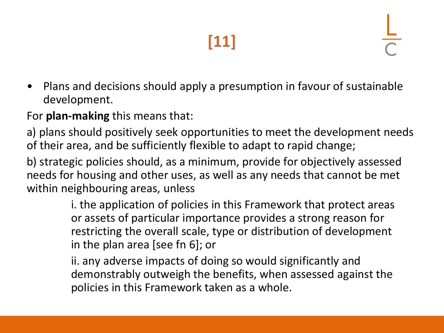# **[11]**

• Plans and decisions should apply a presumption in favour of sustainable development.

For **plan-making** this means that:

a) plans should positively seek opportunities to meet the development needs of their area, and be sufficiently flexible to adapt to rapid change;

b) strategic policies should, as a minimum, provide for objectively assessed needs for housing and other uses, as well as any needs that cannot be met within neighbouring areas, unless

> i. the application of policies in this Framework that protect areas or assets of particular importance provides a strong reason for restricting the overall scale, type or distribution of development in the plan area [see fn 6]; or

> ii. any adverse impacts of doing so would significantly and demonstrably outweigh the benefits, when assessed against the policies in this Framework taken as a whole.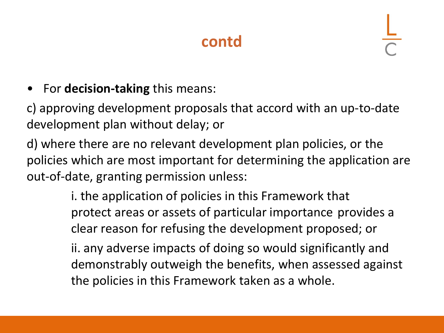## **contd**

• For **decision-taking** this means:

c) approving development proposals that accord with an up-to-date development plan without delay; or

d) where there are no relevant development plan policies, or the policies which are most important for determining the application are out-of-date, granting permission unless:

> i. the application of policies in this Framework that protect areas or assets of particular importance provides a clear reason for refusing the development proposed; or

ii. any adverse impacts of doing so would significantly and demonstrably outweigh the benefits, when assessed against the policies in this Framework taken as a whole.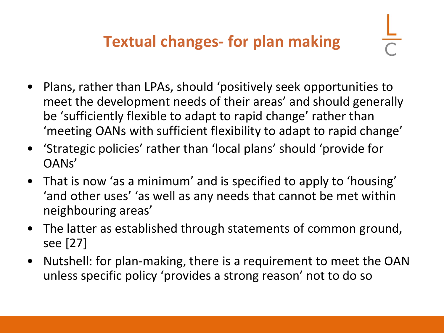- Plans, rather than LPAs, should 'positively seek opportunities to meet the development needs of their areas' and should generally be 'sufficiently flexible to adapt to rapid change' rather than 'meeting OANs with sufficient flexibility to adapt to rapid change'
- 'Strategic policies' rather than 'local plans' should 'provide for OANs'
- That is now 'as a minimum' and is specified to apply to 'housing' 'and other uses' 'as well as any needs that cannot be met within neighbouring areas'
- The latter as established through statements of common ground, see [27]
- Nutshell: for plan-making, there is a requirement to meet the OAN unless specific policy 'provides a strong reason' not to do so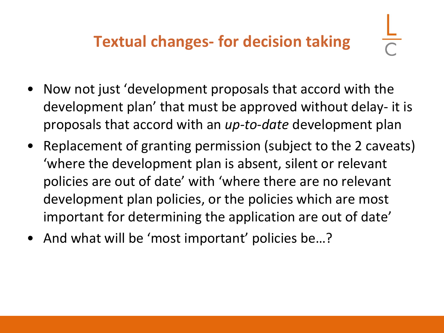- Now not just 'development proposals that accord with the development plan' that must be approved without delay- it is proposals that accord with an *up-to-date* development plan
- Replacement of granting permission (subject to the 2 caveats) 'where the development plan is absent, silent or relevant policies are out of date' with 'where there are no relevant development plan policies, or the policies which are most important for determining the application are out of date'
- And what will be 'most important' policies be...?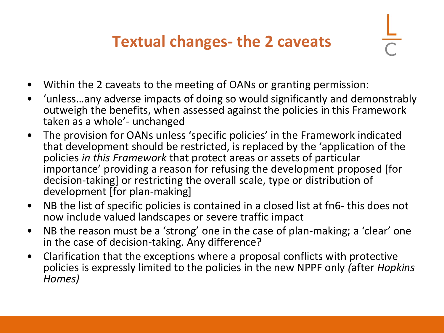## **Textual changes- the 2 caveats**

- Within the 2 caveats to the meeting of OANs or granting permission:
- 'unless…any adverse impacts of doing so would significantly and demonstrably outweigh the benefits, when assessed against the policies in this Framework taken as a whole'- unchanged
- The provision for OANs unless 'specific policies' in the Framework indicated that development should be restricted, is replaced by the 'application of the policies *in this Framework* that protect areas or assets of particular importance' providing a reason for refusing the development proposed [for decision-taking] or restricting the overall scale, type or distribution of development [for plan-making]
- NB the list of specific policies is contained in a closed list at fn6- this does not now include valued landscapes or severe traffic impact
- NB the reason must be a 'strong' one in the case of plan-making; a 'clear' one in the case of decision-taking. Any difference?
- Clarification that the exceptions where a proposal conflicts with protective policies is expressly limited to the policies in the new NPPF only *(*after *Hopkins Homes)*